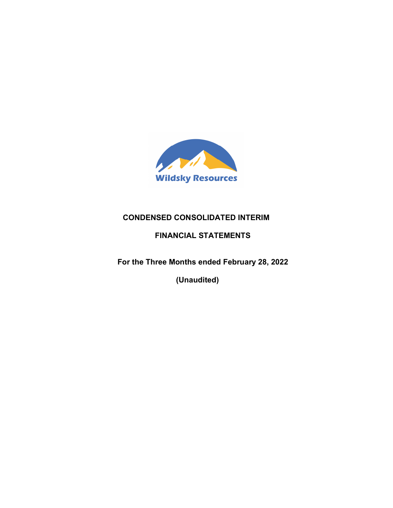

# **CONDENSED CONSOLIDATED INTERIM**

# **FINANCIAL STATEMENTS**

 **For the Three Months ended February 28, 2022** 

 **(Unaudited)**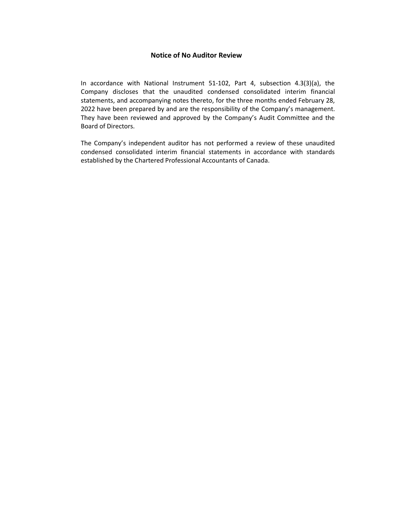# **Notice of No Auditor Review**

In accordance with National Instrument 51-102, Part 4, subsection 4.3(3)(a), the Company discloses that the unaudited condensed consolidated interim financial statements, and accompanying notes thereto, for the three months ended February 28, 2022 have been prepared by and are the responsibility of the Company's management. They have been reviewed and approved by the Company's Audit Committee and the Board of Directors.

The Company's independent auditor has not performed a review of these unaudited condensed consolidated interim financial statements in accordance with standards established by the Chartered Professional Accountants of Canada.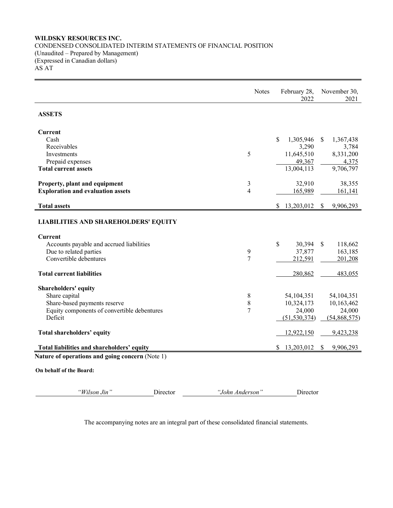# **WILDSKY RESOURCES INC.**  CONDENSED CONSOLIDATED INTERIM STATEMENTS OF FINANCIAL POSITION (Unaudited – Prepared by Management) (Expressed in Canadian dollars) AS AT

|                                                                         | <b>Notes</b>   | February 28,<br>2022 | November 30,<br>2021       |
|-------------------------------------------------------------------------|----------------|----------------------|----------------------------|
| <b>ASSETS</b>                                                           |                |                      |                            |
| <b>Current</b>                                                          |                |                      |                            |
| Cash                                                                    |                | \$<br>1,305,946      | 1,367,438<br><sup>S</sup>  |
| Receivables                                                             |                | 3,290                | 3,784                      |
| Investments                                                             | 5              | 11,645,510           | 8,331,200                  |
| Prepaid expenses                                                        |                | 49,367               | 4,375                      |
| <b>Total current assets</b>                                             |                | 13,004,113           | 9,706,797                  |
| Property, plant and equipment                                           | 3              | 32,910               | 38,355                     |
| <b>Exploration and evaluation assets</b>                                | $\overline{4}$ | 165,989              | 161,141                    |
|                                                                         |                |                      |                            |
| <b>Total assets</b>                                                     |                | 13,203,012<br>\$     | 9,906,293<br><sup>\$</sup> |
| <b>LIABILITIES AND SHAREHOLDERS' EQUITY</b>                             |                |                      |                            |
| <b>Current</b>                                                          |                |                      |                            |
| Accounts payable and accrued liabilities                                |                | \$<br>30,394         | <sup>\$</sup><br>118,662   |
| Due to related parties                                                  | 9              | 37,877               | 163,185                    |
| Convertible debentures                                                  | $\overline{7}$ | 212,591              | 201,208                    |
| <b>Total current liabilities</b>                                        |                | 280,862              | 483,055                    |
| Shareholders' equity                                                    |                |                      |                            |
| Share capital                                                           | 8              | 54, 104, 351         | 54, 104, 351               |
| Share-based payments reserve                                            | $\,$ 8 $\,$    | 10,324,173           | 10,163,462                 |
| Equity components of convertible debentures                             | 7              | 24,000               | 24,000                     |
| Deficit                                                                 |                | (51, 530, 374)       | (54,868,575)               |
| Total shareholders' equity                                              |                | 12,922,150           | 9,423,238                  |
| Total liabilities and shareholders' equity                              |                | 13,203,012<br>S      | 9,906,293<br>\$            |
| Nature of operations and going concern (Note 1)                         |                |                      |                            |
| $\Omega$ . Let $\Omega$ if $\Omega$ if $\Omega$ is $\Omega$ is a set in |                |                      |                            |

**On behalf of the Board:** 

*"Wilson Jin"* Director *"John Anderson"* Director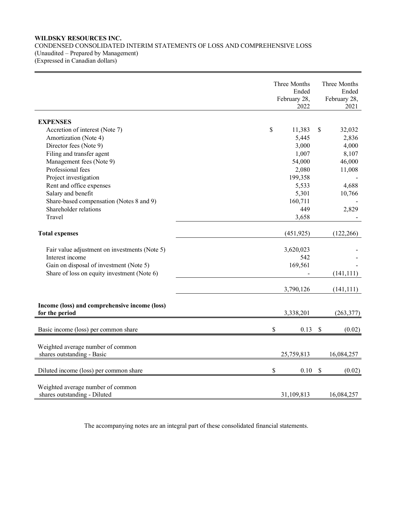# **WILDSKY RESOURCES INC.**  CONDENSED CONSOLIDATED INTERIM STATEMENTS OF LOSS AND COMPREHENSIVE LOSS (Unaudited – Prepared by Management) (Expressed in Canadian dollars)

|                                                                   | Three Months<br>Ended<br>February 28,<br>2022 | Three Months<br>Ended<br>February 28,<br>2021 |
|-------------------------------------------------------------------|-----------------------------------------------|-----------------------------------------------|
| <b>EXPENSES</b>                                                   |                                               |                                               |
| Accretion of interest (Note 7)                                    | \$<br>11,383                                  | \$<br>32,032                                  |
| Amortization (Note 4)                                             | 5,445                                         | 2,836                                         |
| Director fees (Note 9)                                            | 3,000                                         | 4,000                                         |
| Filing and transfer agent                                         | 1,007                                         | 8,107                                         |
| Management fees (Note 9)                                          | 54,000                                        | 46,000                                        |
| Professional fees                                                 | 2,080                                         | 11,008                                        |
| Project investigation                                             | 199,358                                       |                                               |
| Rent and office expenses                                          | 5,533                                         | 4,688                                         |
| Salary and benefit                                                | 5,301                                         | 10,766                                        |
| Share-based compensation (Notes 8 and 9)                          | 160,711                                       |                                               |
| Shareholder relations                                             | 449                                           | 2,829                                         |
| Travel                                                            | 3,658                                         |                                               |
| <b>Total expenses</b>                                             | (451, 925)                                    | (122, 266)                                    |
| Fair value adjustment on investments (Note 5)                     | 3,620,023                                     |                                               |
| Interest income                                                   | 542                                           |                                               |
| Gain on disposal of investment (Note 5)                           | 169,561                                       |                                               |
| Share of loss on equity investment (Note 6)                       |                                               | (141, 111)                                    |
|                                                                   | 3,790,126                                     | (141, 111)                                    |
| Income (loss) and comprehensive income (loss)<br>for the period   | 3,338,201                                     | (263, 377)                                    |
| Basic income (loss) per common share                              | \$<br>0.13                                    | \$<br>(0.02)                                  |
| Weighted average number of common<br>shares outstanding - Basic   | 25,759,813                                    | 16,084,257                                    |
| Diluted income (loss) per common share                            | \$<br>0.10                                    | $\mathbb{S}$<br>(0.02)                        |
| Weighted average number of common<br>shares outstanding - Diluted | 31,109,813                                    | 16,084,257                                    |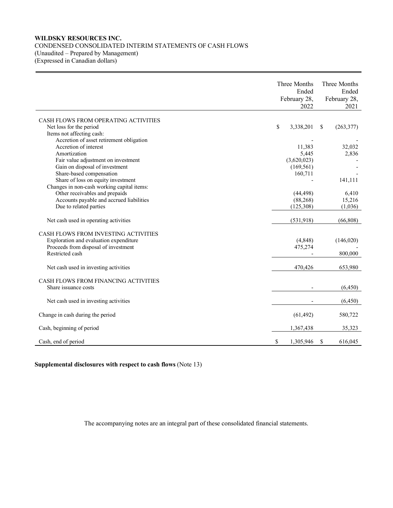# **WILDSKY RESOURCES INC.**  CONDENSED CONSOLIDATED INTERIM STATEMENTS OF CASH FLOWS (Unaudited – Prepared by Management)

(Expressed in Canadian dollars)

|                                                                                                                                                  | Three Months<br>Ended<br>February 28,<br>2022 | Three Months<br>Ended<br>February 28,<br>2021 |
|--------------------------------------------------------------------------------------------------------------------------------------------------|-----------------------------------------------|-----------------------------------------------|
| CASH FLOWS FROM OPERATING ACTIVITIES<br>Net loss for the period<br>Items not affecting cash:                                                     | \$<br>3,338,201                               | \$<br>(263, 377)                              |
| Accretion of asset retirement obligation<br>Accretion of interest                                                                                | 11,383                                        | 32,032                                        |
| Amortization<br>Fair value adjustment on investment<br>Gain on disposal of investment                                                            | 5,445<br>(3,620,023)<br>(169, 561)            | 2,836                                         |
| Share-based compensation<br>Share of loss on equity investment<br>Changes in non-cash working capital items:                                     | 160,711                                       | 141,111                                       |
| Other receivables and prepaids<br>Accounts payable and accrued liabilities                                                                       | (44, 498)<br>(88, 268)                        | 6,410<br>15,216                               |
| Due to related parties<br>Net cash used in operating activities                                                                                  | (125,308)<br>(531, 918)                       | (1,036)<br>(66, 808)                          |
| <b>CASH FLOWS FROM INVESTING ACTIVITIES</b><br>Exploration and evaluation expenditure<br>Proceeds from disposal of investment<br>Restricted cash | (4,848)<br>475,274                            | (146,020)<br>800,000                          |
| Net cash used in investing activities                                                                                                            | 470,426                                       | 653,980                                       |
| CASH FLOWS FROM FINANCING ACTIVITIES<br>Share issuance costs                                                                                     |                                               | (6,450)                                       |
| Net cash used in investing activities                                                                                                            |                                               | (6, 450)                                      |
| Change in cash during the period                                                                                                                 | (61, 492)                                     | 580,722                                       |
| Cash, beginning of period                                                                                                                        | 1,367,438                                     | 35,323                                        |
| Cash, end of period                                                                                                                              | \$<br>1,305,946                               | \$<br>616,045                                 |

# **Supplemental disclosures with respect to cash flows** (Note 13)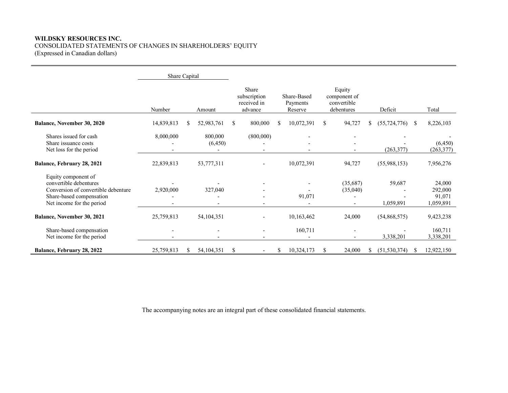# **WILDSKY RESOURCES INC.**  CONSOLIDATED STATEMENTS OF CHANGES IN SHAREHOLDERS' EQUITY (Expressed in Canadian dollars)

|                                                                                                                                               | Share Capital            |    |                     |               |                                                 |                                    |               |                                                     |                      |    |                                          |
|-----------------------------------------------------------------------------------------------------------------------------------------------|--------------------------|----|---------------------|---------------|-------------------------------------------------|------------------------------------|---------------|-----------------------------------------------------|----------------------|----|------------------------------------------|
|                                                                                                                                               | Number                   |    | Amount              |               | Share<br>subscription<br>received in<br>advance | Share-Based<br>Payments<br>Reserve |               | Equity<br>component of<br>convertible<br>debentures | Deficit              |    | Total                                    |
| Balance, November 30, 2020                                                                                                                    | 14,839,813               | S  | 52,983,761          | S             | 800,000                                         | \$<br>10,072,391                   | <sup>\$</sup> | 94,727                                              | \$<br>(55, 724, 776) | -S | 8,226,103                                |
| Shares issued for cash<br>Share issuance costs<br>Net loss for the period                                                                     | 8,000,000                |    | 800,000<br>(6, 450) |               | (800,000)                                       |                                    |               |                                                     | (263, 377)           |    | (6, 450)<br>(263, 377)                   |
| Balance, February 28, 2021                                                                                                                    | 22,839,813               |    | 53,777,311          |               |                                                 | 10,072,391                         |               | 94,727                                              | (55,988,153)         |    | 7,956,276                                |
| Equity component of<br>convertible debentures<br>Conversion of convertible debenture<br>Share-based compensation<br>Net income for the period | 2,920,000                |    | 327,040             |               |                                                 | 91,071                             |               | (35,687)<br>(35,040)                                | 59,687<br>1,059,891  |    | 24,000<br>292,000<br>91,071<br>1,059,891 |
| Balance, November 30, 2021                                                                                                                    | 25,759,813               |    | 54, 104, 351        |               |                                                 | 10,163,462                         |               | 24,000                                              | (54,868,575)         |    | 9,423,238                                |
| Share-based compensation<br>Net income for the period                                                                                         | $\overline{\phantom{a}}$ |    |                     |               |                                                 | 160,711                            |               |                                                     | 3,338,201            |    | 160,711<br>3,338,201                     |
| Balance, February 28, 2022                                                                                                                    | 25,759,813               | \$ | 54, 104, 351        | <sup>\$</sup> |                                                 | \$<br>10,324,173                   | S             | 24,000                                              | \$<br>(51, 530, 374) | -S | 12,922,150                               |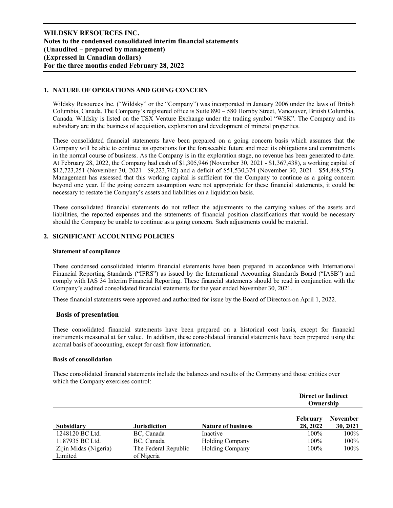# **1. NATURE OF OPERATIONS AND GOING CONCERN**

Wildsky Resources Inc. ("Wildsky" or the "Company") was incorporated in January 2006 under the laws of British Columbia, Canada. The Company's registered office is Suite 890 – 580 Hornby Street, Vancouver, British Columbia, Canada. Wildsky is listed on the TSX Venture Exchange under the trading symbol "WSK". The Company and its subsidiary are in the business of acquisition, exploration and development of mineral properties.

These consolidated financial statements have been prepared on a going concern basis which assumes that the Company will be able to continue its operations for the foreseeable future and meet its obligations and commitments in the normal course of business. As the Company is in the exploration stage, no revenue has been generated to date. At February 28, 2022, the Company had cash of \$1,305,946 (November 30, 2021 - \$1,367,438), a working capital of \$12,723,251 (November 30, 2021 –\$9,223,742) and a deficit of \$51,530,374 (November 30, 2021 - \$54,868,575). Management has assessed that this working capital is sufficient for the Company to continue as a going concern beyond one year. If the going concern assumption were not appropriate for these financial statements, it could be necessary to restate the Company's assets and liabilities on a liquidation basis.

These consolidated financial statements do not reflect the adjustments to the carrying values of the assets and liabilities, the reported expenses and the statements of financial position classifications that would be necessary should the Company be unable to continue as a going concern. Such adjustments could be material.

## **2. SIGNIFICANT ACCOUNTING POLICIES**

#### **Statement of compliance**

These condensed consolidated interim financial statements have been prepared in accordance with International Financial Reporting Standards ("IFRS") as issued by the International Accounting Standards Board ("IASB") and comply with IAS 34 Interim Financial Reporting. These financial statements should be read in conjunction with the Company's audited consolidated financial statements for the year ended November 30, 2021.

These financial statements were approved and authorized for issue by the Board of Directors on April 1, 2022.

### **Basis of presentation**

These consolidated financial statements have been prepared on a historical cost basis, except for financial instruments measured at fair value. In addition, these consolidated financial statements have been prepared using the accrual basis of accounting, except for cash flow information.

### **Basis of consolidation**

These consolidated financial statements include the balances and results of the Company and those entities over which the Company exercises control:

|                       |                      |                           | <b>Direct or Indirect</b><br>Ownership |                             |
|-----------------------|----------------------|---------------------------|----------------------------------------|-----------------------------|
| Subsidiary            | <b>Jurisdiction</b>  | <b>Nature of business</b> | <b>February</b><br>28, 2022            | <b>November</b><br>30, 2021 |
| 1248120 BC Ltd.       | BC, Canada           | Inactive                  | $100\%$                                | 100%                        |
| 1187935 BC Ltd.       | BC, Canada           | Holding Company           | 100%                                   | 100%                        |
| Zijin Midas (Nigeria) | The Federal Republic | Holding Company           | 100%                                   | 100%                        |
| Limited               | of Nigeria           |                           |                                        |                             |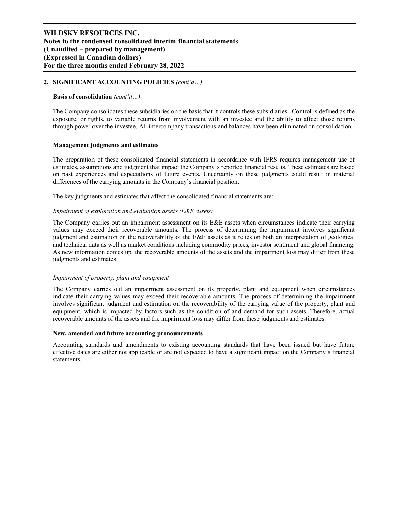# **2. SIGNIFICANT ACCOUNTING POLICIES** *(cont'd…)*

### **Basis of consolidation** *(cont'd…)*

The Company consolidates these subsidiaries on the basis that it controls these subsidiaries. Control is defined as the exposure, or rights, to variable returns from involvement with an investee and the ability to affect those returns through power over the investee. All intercompany transactions and balances have been eliminated on consolidation.

### **Management judgments and estimates**

The preparation of these consolidated financial statements in accordance with IFRS requires management use of estimates, assumptions and judgment that impact the Company's reported financial results. These estimates are based on past experiences and expectations of future events. Uncertainty on these judgments could result in material differences of the carrying amounts in the Company's financial position.

The key judgments and estimates that affect the consolidated financial statements are:

### *Impairment of exploration and evaluation assets (E&E assets)*

The Company carries out an impairment assessment on its E&E assets when circumstances indicate their carrying values may exceed their recoverable amounts. The process of determining the impairment involves significant judgment and estimation on the recoverability of the E&E assets as it relies on both an interpretation of geological and technical data as well as market conditions including commodity prices, investor sentiment and global financing. As new information comes up, the recoverable amounts of the assets and the impairment loss may differ from these judgments and estimates.

### *Impairment of property, plant and equipment*

The Company carries out an impairment assessment on its property, plant and equipment when circumstances indicate their carrying values may exceed their recoverable amounts. The process of determining the impairment involves significant judgment and estimation on the recoverability of the carrying value of the property, plant and equipment, which is impacted by factors such as the condition of and demand for such assets. Therefore, actual recoverable amounts of the assets and the impairment loss may differ from these judgments and estimates.

#### **New, amended and future accounting pronouncements**

Accounting standards and amendments to existing accounting standards that have been issued but have future effective dates are either not applicable or are not expected to have a significant impact on the Company's financial statements.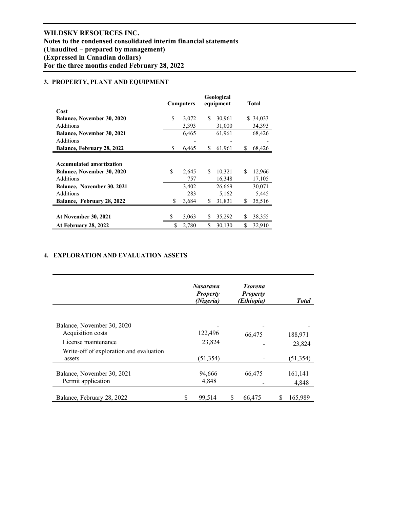# **3. PROPERTY, PLANT AND EQUIPMENT**

|                                   |    | <b>Computers</b> |     | Geological<br>equipment |    | Total    |
|-----------------------------------|----|------------------|-----|-------------------------|----|----------|
| Cost                              |    |                  |     |                         |    |          |
| <b>Balance, November 30, 2020</b> | S  | 3,072            | \$. | 30,961                  |    | \$34,033 |
| Additions                         |    | 3,393            |     | 31,000                  |    | 34,393   |
| <b>Balance, November 30, 2021</b> |    | 6,465            |     | 61,961                  |    | 68,426   |
| Additions                         |    |                  |     |                         |    |          |
| Balance, February 28, 2022        | S  | 6,465            | \$  | 61,961                  | \$ | 68,426   |
|                                   |    |                  |     |                         |    |          |
| <b>Accumulated amortization</b>   |    |                  |     |                         |    |          |
| <b>Balance, November 30, 2020</b> | \$ | 2,645            | \$  | 10,321                  | \$ | 12,966   |
| Additions                         |    | 757              |     | 16,348                  |    | 17,105   |
| <b>Balance, November 30, 2021</b> |    | 3,402            |     | 26,669                  |    | 30,071   |
| Additions                         |    | 283              |     | 5,162                   |    | 5,445    |
| Balance, February 28, 2022        | \$ | 3,684            | \$  | 31,831                  | \$ | 35,516   |
|                                   |    |                  |     |                         |    |          |
| At November 30, 2021              | \$ | 3,063            | S   | 35,292                  | S  | 38,355   |
| At February 28, 2022              | \$ | 2,780            | \$  | 30,130                  | \$ | 32,910   |

# **4. EXPLORATION AND EVALUATION ASSETS**

|                                         |   | <b>Nasarawa</b><br><b>Property</b><br>(Nigeria) | <b>Tsorena</b><br><b>Property</b><br>(Ethiopia) | <b>Total</b> |
|-----------------------------------------|---|-------------------------------------------------|-------------------------------------------------|--------------|
| Balance, November 30, 2020              |   |                                                 |                                                 |              |
| Acquisition costs                       |   | 122,496                                         | 66,475                                          | 188,971      |
| License maintenance                     |   | 23,824                                          |                                                 | 23,824       |
| Write-off of exploration and evaluation |   |                                                 |                                                 |              |
| assets                                  |   | (51, 354)                                       |                                                 | (51, 354)    |
| Balance, November 30, 2021              |   | 94,666                                          | 66,475                                          | 161,141      |
| Permit application                      |   | 4,848                                           |                                                 | 4,848        |
| Balance, February 28, 2022              | S | 99,514                                          | 66,475                                          | 165,989      |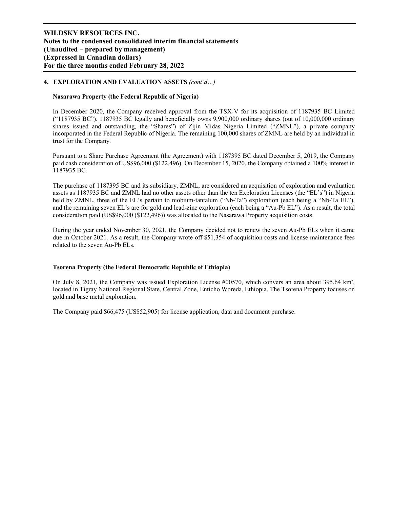# **4. EXPLORATION AND EVALUATION ASSETS** *(cont'd…)*

## **Nasarawa Property (the Federal Republic of Nigeria)**

In December 2020, the Company received approval from the TSX-V for its acquisition of 1187935 BC Limited  $($ "1187935 BC"). 1187935 BC legally and beneficially owns 9,900,000 ordinary shares (out of 10,000,000 ordinary shares issued and outstanding, the "Shares") of Zijin Midas Nigeria Limited ("ZMNL"), a private company incorporated in the Federal Republic of Nigeria. The remaining 100,000 shares of ZMNL are held by an individual in trust for the Company.

Pursuant to a Share Purchase Agreement (the Agreement) with 1187395 BC dated December 5, 2019, the Company paid cash consideration of US\$96,000 (\$122,496). On December 15, 2020, the Company obtained a 100% interest in 1187935 BC.

The purchase of 1187395 BC and its subsidiary, ZMNL, are considered an acquisition of exploration and evaluation assets as 1187935 BC and ZMNL had no other assets other than the ten Exploration Licenses (the "EL's") in Nigeria held by ZMNL, three of the EL's pertain to niobium-tantalum ("Nb-Ta") exploration (each being a "Nb-Ta EL"), and the remaining seven EL's are for gold and lead-zinc exploration (each being a "Au-Pb EL"). As a result, the total consideration paid (US\$96,000 (\$122,496)) was allocated to the Nasarawa Property acquisition costs.

During the year ended November 30, 2021, the Company decided not to renew the seven Au-Pb ELs when it came due in October 2021. As a result, the Company wrote off \$51,354 of acquisition costs and license maintenance fees related to the seven Au-Pb ELs.

# **Tsorena Property (the Federal Democratic Republic of Ethiopia)**

On July 8, 2021, the Company was issued Exploration License #00570, which convers an area about 395.64 km², located in Tigray National Regional State, Central Zone, Enticho Woreda, Ethiopia. The Tsorena Property focuses on gold and base metal exploration.

The Company paid \$66,475 (US\$52,905) for license application, data and document purchase.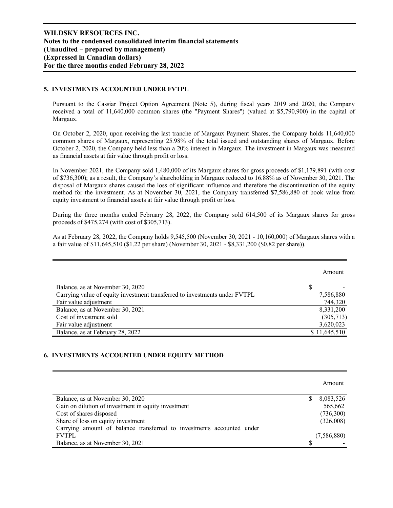## **5. INVESTMENTS ACCOUNTED UNDER FVTPL**

Pursuant to the Cassiar Project Option Agreement (Note 5), during fiscal years 2019 and 2020, the Company received a total of 11,640,000 common shares (the "Payment Shares") (valued at \$5,790,900) in the capital of Margaux.

On October 2, 2020, upon receiving the last tranche of Margaux Payment Shares, the Company holds 11,640,000 common shares of Margaux, representing 25.98% of the total issued and outstanding shares of Margaux. Before October 2, 2020, the Company held less than a 20% interest in Margaux. The investment in Margaux was measured as financial assets at fair value through profit or loss.

In November 2021, the Company sold 1,480,000 of its Margaux shares for gross proceeds of \$1,179,891 (with cost of \$736,300); as a result, the Company's shareholding in Margaux reduced to 16.88% as of November 30, 2021. The disposal of Margaux shares caused the loss of significant influence and therefore the discontinuation of the equity method for the investment. As at November 30, 2021, the Company transferred \$7,586,880 of book value from equity investment to financial assets at fair value through profit or loss.

During the three months ended February 28, 2022, the Company sold 614,500 of its Margaux shares for gross proceeds of \$475,274 (with cost of \$305,713).

As at February 28, 2022, the Company holds 9,545,500 (November 30, 2021 - 10,160,000) of Margaux shares with a a fair value of \$11,645,510 (\$1.22 per share) (November 30, 2021 - \$8,331,200 (\$0.82 per share)).

|                                                                            | Amount       |
|----------------------------------------------------------------------------|--------------|
| Balance, as at November 30, 2020                                           |              |
| Carrying value of equity investment transferred to investments under FVTPL | 7,586,880    |
| Fair value adjustment                                                      | 744,320      |
| Balance, as at November 30, 2021                                           | 8,331,200    |
| Cost of investment sold                                                    | (305,713)    |
| Fair value adjustment                                                      | 3,620,023    |
| Balance, as at February 28, 2022                                           | \$11,645,510 |

### **6. INVESTMENTS ACCOUNTED UNDER EQUITY METHOD**

|                                                                       |   | Amount      |
|-----------------------------------------------------------------------|---|-------------|
| Balance, as at November 30, 2020                                      | S | 8,083,526   |
| Gain on dilution of investment in equity investment                   |   | 565,662     |
| Cost of shares disposed                                               |   | (736,300)   |
| Share of loss on equity investment                                    |   | (326,008)   |
| Carrying amount of balance transferred to investments accounted under |   |             |
| <b>FVTPL</b>                                                          |   | (7,586,880) |
| Balance, as at November 30, 2021                                      |   |             |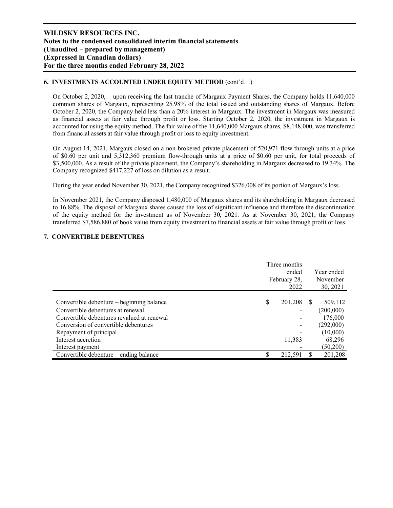# **6. INVESTMENTS ACCOUNTED UNDER EQUITY METHOD** (cont'd…)

On October 2, 2020, upon receiving the last tranche of Margaux Payment Shares, the Company holds 11,640,000 common shares of Margaux, representing 25.98% of the total issued and outstanding shares of Margaux. Before October 2, 2020, the Company held less than a 20% interest in Margaux. The investment in Margaux was measured as financial assets at fair value through profit or loss. Starting October 2, 2020, the investment in Margaux is accounted for using the equity method. The fair value of the 11,640,000 Margaux shares, \$8,148,000, was transferred from financial assets at fair value through profit or loss to equity investment.

On August 14, 2021, Margaux closed on a non-brokered private placement of 520,971 flow-through units at a price of \$0.60 per unit and 5,312,360 premium flow-through units at a price of \$0.60 per unit, for total proceeds of \$3,500,000. As a result of the private placement, the Company's shareholding in Margaux decreased to 19.34%. The Company recognized \$417,227 of loss on dilution as a result.

During the year ended November 30, 2021, the Company recognized \$326,008 of its portion of Margaux's loss.

In November 2021, the Company disposed 1,480,000 of Margaux shares and its shareholding in Margaux decreased to 16.88%. The disposal of Margaux shares caused the loss of significant influence and therefore the discontinuation of the equity method for the investment as of November 30, 2021. As at November 30, 2021, the Company transferred \$7,586,880 of book value from equity investment to financial assets at fair value through profit or loss.

# **7. CONVERTIBLE DEBENTURES**

|                                            | Three months<br>ended<br>February 28,<br>2022 |          | Year ended<br>November<br>30, 2021 |
|--------------------------------------------|-----------------------------------------------|----------|------------------------------------|
|                                            |                                               |          |                                    |
| Convertible debenture – beginning balance  | \$<br>201,208                                 | <b>S</b> | 509,112                            |
| Convertible debentures at renewal          |                                               |          | (200,000)                          |
| Convertible debentures revalued at renewal |                                               |          | 176,000                            |
| Conversion of convertible debentures       |                                               |          | (292,000)                          |
| Repayment of principal                     |                                               |          | (10,000)                           |
| Interest accretion                         | 11,383                                        |          | 68,296                             |
| Interest payment                           |                                               |          | (50, 200)                          |
| Convertible debenture – ending balance     | \$<br>212,591                                 |          | 201,208                            |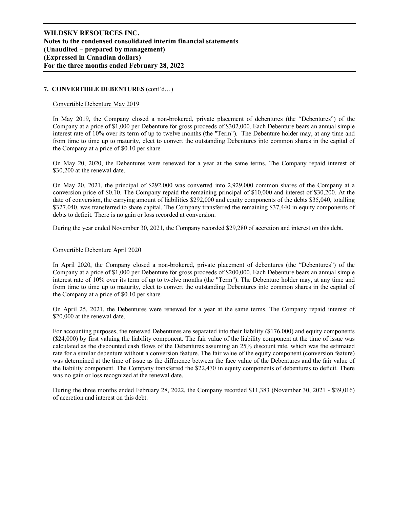# **7. CONVERTIBLE DEBENTURES** (cont'd…)

### Convertible Debenture May 2019

In May 2019, the Company closed a non-brokered, private placement of debentures (the "Debentures") of the Company at a price of \$1,000 per Debenture for gross proceeds of \$302,000. Each Debenture bears an annual simple interest rate of 10% over its term of up to twelve months (the "Term"). The Debenture holder may, at any time and from time to time up to maturity, elect to convert the outstanding Debentures into common shares in the capital of the Company at a price of \$0.10 per share.

On May 20, 2020, the Debentures were renewed for a year at the same terms. The Company repaid interest of \$30,200 at the renewal date.

On May 20, 2021, the principal of \$292,000 was converted into 2,929,000 common shares of the Company at a conversion price of \$0.10. The Company repaid the remaining principal of \$10,000 and interest of \$30,200. At the date of conversion, the carrying amount of liabilities \$292,000 and equity components of the debts \$35,040, totalling \$327,040, was transferred to share capital. The Company transferred the remaining \$37,440 in equity components of debts to deficit. There is no gain or loss recorded at conversion.

During the year ended November 30, 2021, the Company recorded \$29,280 of accretion and interest on this debt.

### Convertible Debenture April 2020

In April 2020, the Company closed a non-brokered, private placement of debentures (the "Debentures") of the Company at a price of \$1,000 per Debenture for gross proceeds of \$200,000. Each Debenture bears an annual simple interest rate of 10% over its term of up to twelve months (the "Term"). The Debenture holder may, at any time and from time to time up to maturity, elect to convert the outstanding Debentures into common shares in the capital of the Company at a price of \$0.10 per share.

On April 25, 2021, the Debentures were renewed for a year at the same terms. The Company repaid interest of \$20,000 at the renewal date.

For accounting purposes, the renewed Debentures are separated into their liability (\$176,000) and equity components (\$24,000) by first valuing the liability component. The fair value of the liability component at the time of issue was calculated as the discounted cash flows of the Debentures assuming an 25% discount rate, which was the estimated rate for a similar debenture without a conversion feature. The fair value of the equity component (conversion feature) was determined at the time of issue as the difference between the face value of the Debentures and the fair value of the liability component. The Company transferred the \$22,470 in equity components of debentures to deficit. There was no gain or loss recognized at the renewal date.

During the three months ended February 28, 2022, the Company recorded \$11,383 (November 30, 2021 - \$39,016) of accretion and interest on this debt.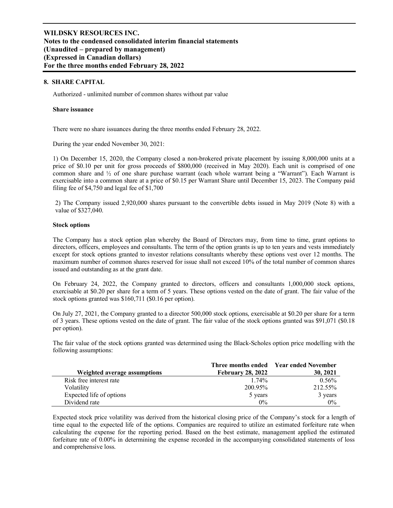### **8. SHARE CAPITAL**

Authorized - unlimited number of common shares without par value

### **Share issuance**

There were no share issuances during the three months ended February 28, 2022.

During the year ended November 30, 2021:

1) On December 15, 2020, the Company closed a non-brokered private placement by issuing 8,000,000 units at a price of \$0.10 per unit for gross proceeds of \$800,000 (received in May 2020). Each unit is comprised of one common share and ½ of one share purchase warrant (each whole warrant being a "Warrant"). Each Warrant is exercisable into a common share at a price of \$0.15 per Warrant Share until December 15, 2023. The Company paid filing fee of \$4,750 and legal fee of \$1,700

2) The Company issued 2,920,000 shares pursuant to the convertible debts issued in May 2019 (Note 8) with a value of \$327,040.

#### **Stock options**

The Company has a stock option plan whereby the Board of Directors may, from time to time, grant options to directors, officers, employees and consultants. The term of the option grants is up to ten years and vests immediately except for stock options granted to investor relations consultants whereby these options vest over 12 months. The maximum number of common shares reserved for issue shall not exceed 10% of the total number of common shares issued and outstanding as at the grant date.

On February 24, 2022, the Company granted to directors, officers and consultants 1,000,000 stock options, exercisable at \$0.20 per share for a term of 5 years. These options vested on the date of grant. The fair value of the stock options granted was \$160,711 (\$0.16 per option).

On July 27, 2021, the Company granted to a director 500,000 stock options, exercisable at \$0.20 per share for a term of 3 years. These options vested on the date of grant. The fair value of the stock options granted was \$91,071 (\$0.18 per option).

The fair value of the stock options granted was determined using the Black-Scholes option price modelling with the following assumptions:

|                              |                          | Three months ended Year ended November |
|------------------------------|--------------------------|----------------------------------------|
| Weighted average assumptions | <b>February 28, 2022</b> | 30, 2021                               |
| Risk free interest rate      | 1.74%                    | 0.56%                                  |
| Volatility                   | 200.95%                  | 212.55%                                |
| Expected life of options     | 5 years                  | 3 years                                |
| Dividend rate                | $0\%$                    | $0\%$                                  |

Expected stock price volatility was derived from the historical closing price of the Company's stock for a length of time equal to the expected life of the options. Companies are required to utilize an estimated forfeiture rate when calculating the expense for the reporting period. Based on the best estimate, management applied the estimated forfeiture rate of 0.00% in determining the expense recorded in the accompanying consolidated statements of loss and comprehensive loss.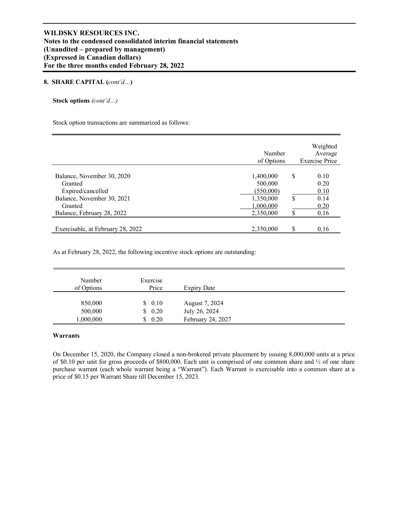### **8. SHARE CAPITAL (***cont'd…***)**

**Stock options** *(cont'd…)* 

Stock option transactions are summarized as follows:

|                                   | Number<br>of Options |    | Weighted<br>Average<br><b>Exercise Price</b> |
|-----------------------------------|----------------------|----|----------------------------------------------|
|                                   |                      |    |                                              |
| Balance, November 30, 2020        | 1,400,000            | S  | 0.10                                         |
| Granted                           | 500,000              |    | 0.20                                         |
| Expired/cancelled                 | (550,000)            |    | 0.10                                         |
| Balance, November 30, 2021        | 1,350,000            | S  | 0.14                                         |
| Granted                           | 1,000,000            |    | 0.20                                         |
| Balance, February 28, 2022        | 2,350,000            | S  | 0.16                                         |
|                                   |                      |    |                                              |
| Exercisable, at February 28, 2022 | 2,350,000            | \$ | 0.16                                         |

As at February 28, 2022, the following incentive stock options are outstanding:

| Number<br>of Options | Exercise<br>Price | Expiry Date       |
|----------------------|-------------------|-------------------|
| 850,000              | \$0.10            | August 7, 2024    |
| 500,000              | \$0.20            | July 26, 2024     |
| 1,000,000            | \$0.20            | February 24, 2027 |

# **Warrants**

On December 15, 2020, the Company closed a non-brokered private placement by issuing 8,000,000 units at a price of \$0.10 per unit for gross proceeds of \$800,000. Each unit is comprised of one common share and ½ of one share purchase warrant (each whole warrant being a "Warrant"). Each Warrant is exercisable into a common share at a price of \$0.15 per Warrant Share till December 15, 2023.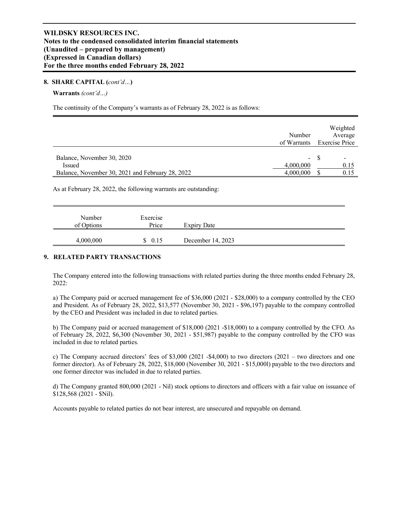### **8. SHARE CAPITAL (***cont'd…***)**

### **Warrants** *(cont'd…)*

The continuity of the Company's warrants as of February 28, 2022 is as follows:

| Number                                                        |        | Weighted<br>Average        |
|---------------------------------------------------------------|--------|----------------------------|
|                                                               |        | of Warrants Exercise Price |
| Balance, November 30, 2020                                    | $\sim$ |                            |
| 4,000,000<br>Issued                                           |        | 0.15                       |
| 4,000,000<br>Balance, November 30, 2021 and February 28, 2022 |        | 0.15                       |

As at February 28, 2022, the following warrants are outstanding:

| Number<br>of Options | Exercise<br>Price | Expiry Date       |
|----------------------|-------------------|-------------------|
| 4,000,000            | \$0.15            | December 14, 2023 |

## **9. RELATED PARTY TRANSACTIONS**

The Company entered into the following transactions with related parties during the three months ended February 28, 2022:

a) The Company paid or accrued management fee of \$36,000 (2021 - \$28,000) to a company controlled by the CEO and President. As of February 28, 2022, \$13,577 (November 30, 2021 - \$96,197) payable to the company controlled by the CEO and President was included in due to related parties.

b) The Company paid or accrued management of \$18,000 (2021 -\$18,000) to a company controlled by the CFO. As of February 28, 2022, \$6,300 (November 30, 2021 - \$51,987) payable to the company controlled by the CFO was included in due to related parties.

c) The Company accrued directors' fees of  $$3,000$  (2021 - $$4,000$ ) to two directors (2021 – two directors and one former director). As of February 28, 2022, \$18,000 (November 30, 2021 - \$15,000l) payable to the two directors and one former director was included in due to related parties.

d) The Company granted 800,000 (2021 - Nil) stock options to directors and officers with a fair value on issuance of \$128,568 (2021 - \$Nil).

Accounts payable to related parties do not bear interest, are unsecured and repayable on demand.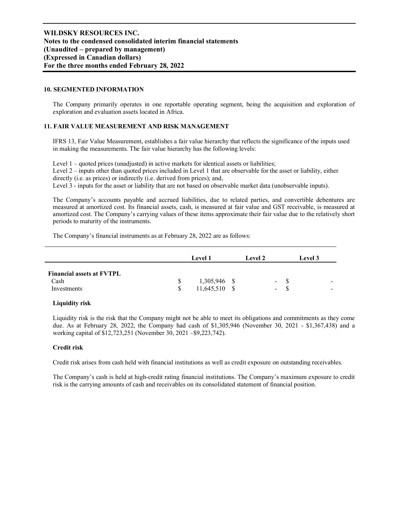## **10. SEGMENTED INFORMATION**

The Company primarily operates in one reportable operating segment, being the acquisition and exploration of exploration and evaluation assets located in Africa.

# **11. FAIR VALUE MEASUREMENT AND RISK MANAGEMENT**

IFRS 13, Fair Value Measurement, establishes a fair value hierarchy that reflects the significance of the inputs used in making the measurements. The fair value hierarchy has the following levels:

Level 1 – quoted prices (unadjusted) in active markets for identical assets or liabilities; Level 2 – inputs other than quoted prices included in Level 1 that are observable for the asset or liability, either directly (i.e. as prices) or indirectly (i.e. derived from prices); and, Level 3 - inputs for the asset or liability that are not based on observable market data (unobservable inputs).

The Company's accounts payable and accrued liabilities, due to related parties, and convertible debentures are measured at amortized cost. Its financial assets, cash, is measured at fair value and GST receivable, is measured at amortized cost. The Company's carrying values of these items approximate their fair value due to the relatively short periods to maturity of the instruments.

The Company's financial instruments as at February 28, 2022 are as follows:

|                                                         | <b>Level 1</b>                  | <b>Level 2</b> |                                                      | <b>Level</b> 3 |  |
|---------------------------------------------------------|---------------------------------|----------------|------------------------------------------------------|----------------|--|
| <b>Financial assets at FVTPL</b><br>Cash<br>Investments | 1,305,946 \$<br>$11,645,510$ \$ |                | $\overline{\phantom{a}}$<br>$\overline{\phantom{0}}$ |                |  |

### **Liquidity risk**

Liquidity risk is the risk that the Company might not be able to meet its obligations and commitments as they come due. As at February 28, 2022, the Company had cash of \$1,305,946 (November 30, 2021 - \$1,367,438) and a working capital of \$12,723,251 (November 30, 2021 –\$9,223,742).

### **Credit risk**

Credit risk arises from cash held with financial institutions as well as credit exposure on outstanding receivables.

The Company's cash is held at high-credit rating financial institutions. The Company's maximum exposure to credit risk is the carrying amounts of cash and receivables on its consolidated statement of financial position.